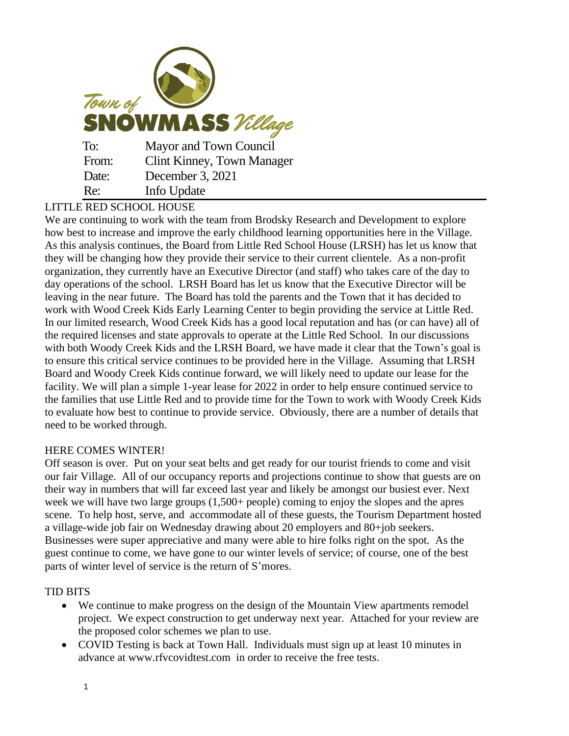| Town of<br><b>SNOWMASS</b> Village |                                   |
|------------------------------------|-----------------------------------|
| To:                                | Mayor and Town Council            |
| From:                              | <b>Clint Kinney, Town Manager</b> |
| Date:                              | December 3, 2021                  |
| Re:                                | Info Update                       |

## LITTLE RED SCHOOL HOUSE

We are continuing to work with the team from Brodsky Research and Development to explore how best to increase and improve the early childhood learning opportunities here in the Village. As this analysis continues, the Board from Little Red School House (LRSH) has let us know that they will be changing how they provide their service to their current clientele. As a non-profit organization, they currently have an Executive Director (and staff) who takes care of the day to day operations of the school. LRSH Board has let us know that the Executive Director will be leaving in the near future. The Board has told the parents and the Town that it has decided to work with Wood Creek Kids Early Learning Center to begin providing the service at Little Red. In our limited research, Wood Creek Kids has a good local reputation and has (or can have) all of the required licenses and state approvals to operate at the Little Red School. In our discussions with both Woody Creek Kids and the LRSH Board, we have made it clear that the Town's goal is to ensure this critical service continues to be provided here in the Village. Assuming that LRSH Board and Woody Creek Kids continue forward, we will likely need to update our lease for the facility. We will plan a simple 1-year lease for 2022 in order to help ensure continued service to the families that use Little Red and to provide time for the Town to work with Woody Creek Kids to evaluate how best to continue to provide service. Obviously, there are a number of details that need to be worked through.

## HERE COMES WINTER!

Off season is over. Put on your seat belts and get ready for our tourist friends to come and visit our fair Village. All of our occupancy reports and projections continue to show that guests are on their way in numbers that will far exceed last year and likely be amongst our busiest ever. Next week we will have two large groups (1,500+ people) coming to enjoy the slopes and the apres scene. To help host, serve, and accommodate all of these guests, the Tourism Department hosted a village-wide job fair on Wednesday drawing about 20 employers and 80+job seekers. Businesses were super appreciative and many were able to hire folks right on the spot. As the guest continue to come, we have gone to our winter levels of service; of course, one of the best parts of winter level of service is the return of S'mores.

## TID BITS

- We continue to make progress on the design of the Mountain View apartments remodel project. We expect construction to get underway next year. Attached for your review are the proposed color schemes we plan to use.
- COVID Testing is back at Town Hall. Individuals must sign up at least 10 minutes in advance at www.rfvcovidtest.com in order to receive the free tests.